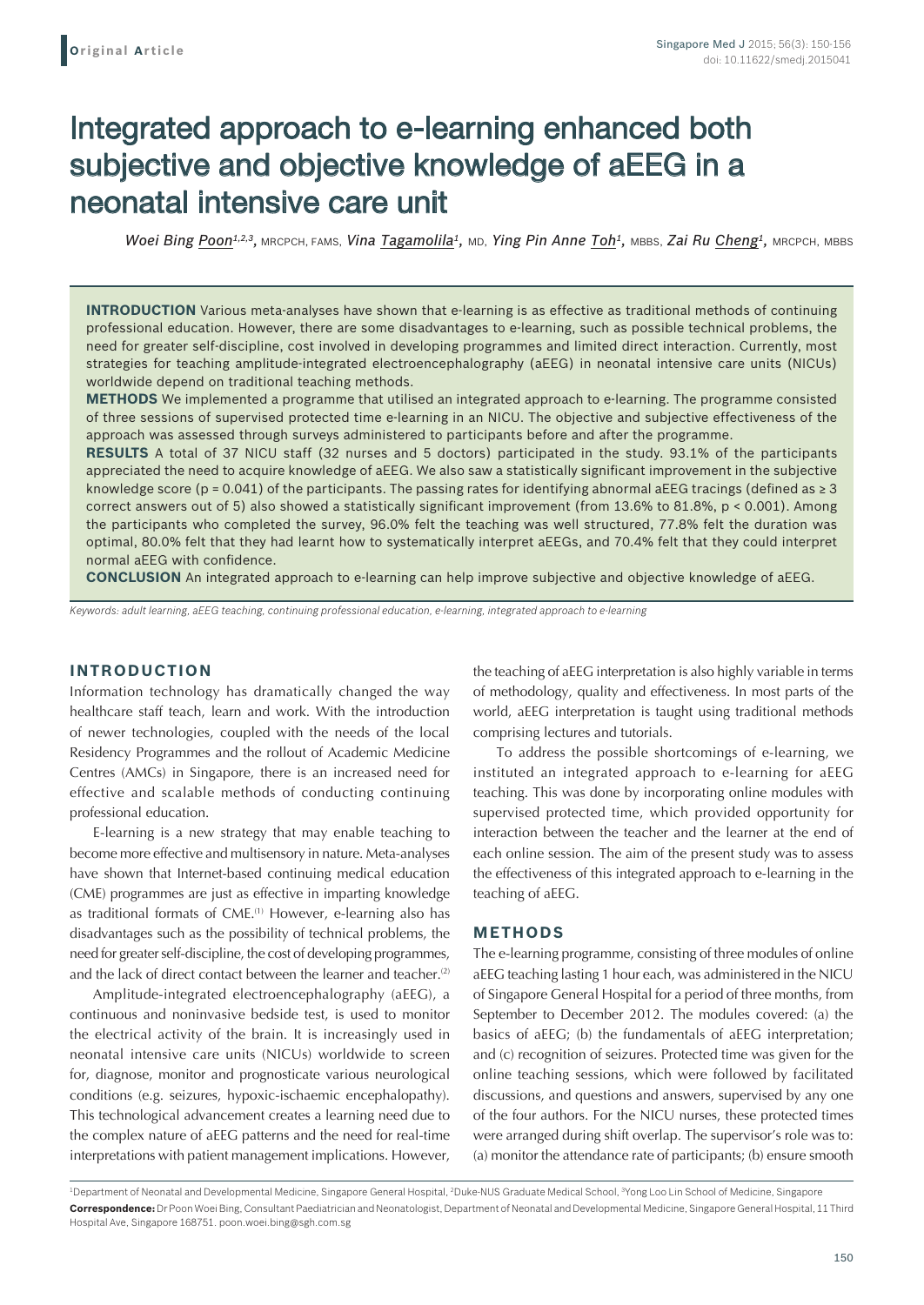# Integrated approach to e-learning enhanced both subjective and objective knowledge of aEEG in a neonatal intensive care unit

*Woei Bing Poon1,2,3,* MRCPCH, FAMS, *Vina Tagamolila1,* MD, *Ying Pin Anne Toh1,* MBBS, *Zai Ru Cheng1,* MRCPCH, MBBS

**INTRODUCTION** Various meta-analyses have shown that e-learning is as effective as traditional methods of continuing professional education. However, there are some disadvantages to e-learning, such as possible technical problems, the need for greater self-discipline, cost involved in developing programmes and limited direct interaction. Currently, most strategies for teaching amplitude-integrated electroencephalography (aEEG) in neonatal intensive care units (NICUs) worldwide depend on traditional teaching methods.

**METHODS** We implemented a programme that utilised an integrated approach to e-learning. The programme consisted of three sessions of supervised protected time e-learning in an NICU. The objective and subjective effectiveness of the approach was assessed through surveys administered to participants before and after the programme.

**RESULTS** A total of 37 NICU staff (32 nurses and 5 doctors) participated in the study. 93.1% of the participants appreciated the need to acquire knowledge of aEEG. We also saw a statistically significant improvement in the subjective knowledge score (p = 0.041) of the participants. The passing rates for identifying abnormal aEEG tracings (defined as ≥ 3 correct answers out of 5) also showed a statistically significant improvement (from 13.6% to 81.8%, p < 0.001). Among the participants who completed the survey, 96.0% felt the teaching was well structured, 77.8% felt the duration was optimal, 80.0% felt that they had learnt how to systematically interpret aEEGs, and 70.4% felt that they could interpret normal aEEG with confidence.

**CONCLUSION** An integrated approach to e-learning can help improve subjective and objective knowledge of aEEG.

*Keywords: adult learning, aEEG teaching, continuing professional education, e-learning, integrated approach to e-learning*

## **INTRODUCTION**

Information technology has dramatically changed the way healthcare staff teach, learn and work. With the introduction of newer technologies, coupled with the needs of the local Residency Programmes and the rollout of Academic Medicine Centres (AMCs) in Singapore, there is an increased need for effective and scalable methods of conducting continuing professional education.

E-learning is a new strategy that may enable teaching to become more effective and multisensory in nature. Meta-analyses have shown that Internet-based continuing medical education (CME) programmes are just as effective in imparting knowledge as traditional formats of CME.<sup>(1)</sup> However, e-learning also has disadvantages such as the possibility of technical problems, the need for greater self-discipline, the cost of developing programmes, and the lack of direct contact between the learner and teacher.<sup>(2)</sup>

Amplitude-integrated electroencephalography (aEEG), a continuous and noninvasive bedside test, is used to monitor the electrical activity of the brain. It is increasingly used in neonatal intensive care units (NICUs) worldwide to screen for, diagnose, monitor and prognosticate various neurological conditions (e.g. seizures, hypoxic-ischaemic encephalopathy). This technological advancement creates a learning need due to the complex nature of aEEG patterns and the need for real-time interpretations with patient management implications. However, the teaching of aEEG interpretation is also highly variable in terms of methodology, quality and effectiveness. In most parts of the world, aEEG interpretation is taught using traditional methods comprising lectures and tutorials.

To address the possible shortcomings of e-learning, we instituted an integrated approach to e-learning for aEEG teaching. This was done by incorporating online modules with supervised protected time, which provided opportunity for interaction between the teacher and the learner at the end of each online session. The aim of the present study was to assess the effectiveness of this integrated approach to e-learning in the teaching of aEEG.

#### **METHODS**

The e-learning programme, consisting of three modules of online aEEG teaching lasting 1 hour each, was administered in the NICU of Singapore General Hospital for a period of three months, from September to December 2012. The modules covered: (a) the basics of aEEG; (b) the fundamentals of aEEG interpretation; and (c) recognition of seizures. Protected time was given for the online teaching sessions, which were followed by facilitated discussions, and questions and answers, supervised by any one of the four authors. For the NICU nurses, these protected times were arranged during shift overlap. The supervisor's role was to: (a) monitor the attendance rate of participants; (b) ensure smooth

<sup>1</sup>Department of Neonatal and Developmental Medicine, Singapore General Hospital, <sup>2</sup>Duke-NUS Graduate Medical School, <sup>3</sup>Yong Loo Lin School of Medicine, Singapore **Correspondence:** Dr Poon Woei Bing, Consultant Paediatrician and Neonatologist, Department of Neonatal and Developmental Medicine, Singapore General Hospital, 11 Third Hospital Ave, Singapore 168751. poon.woei.bing@sgh.com.sg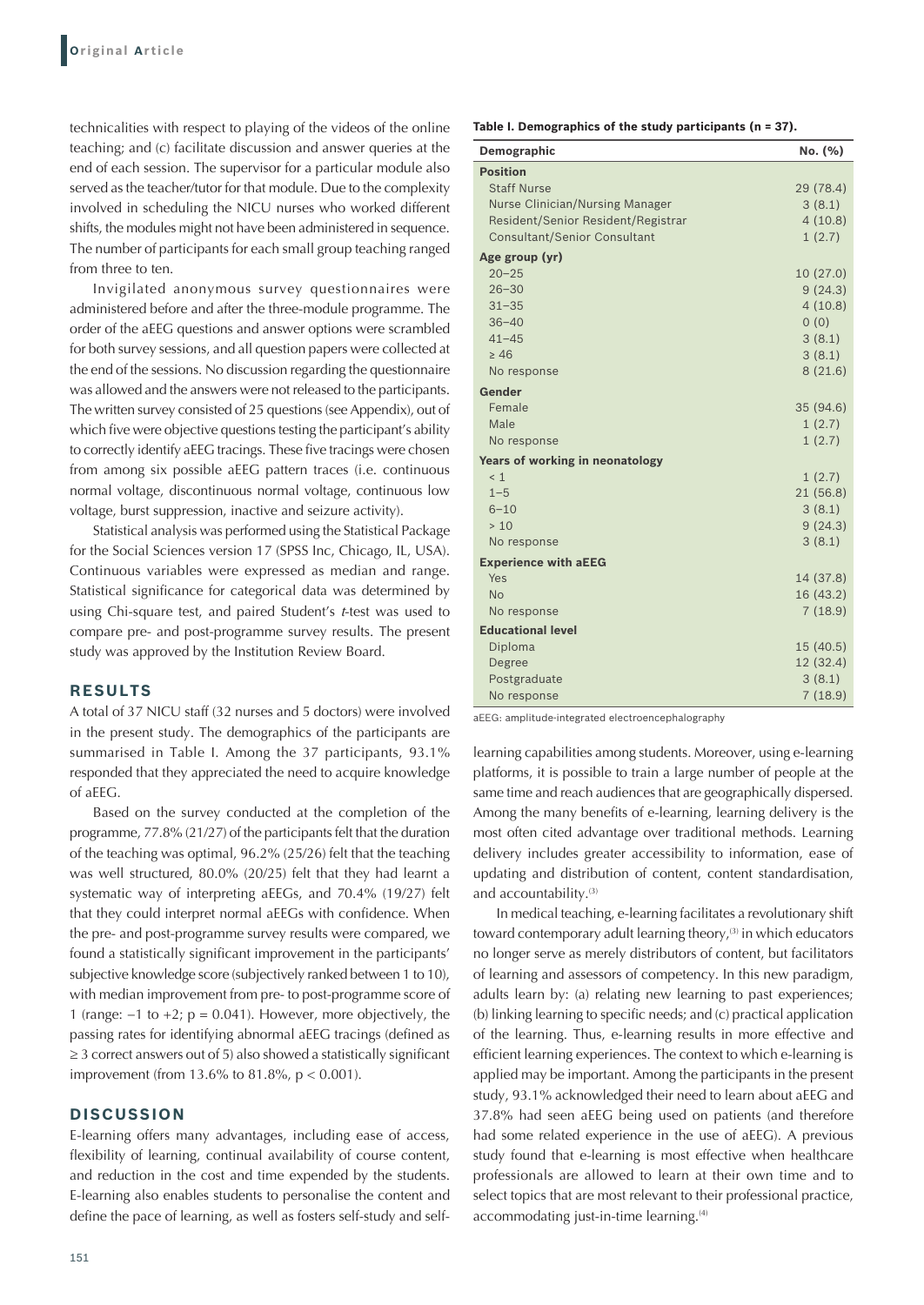technicalities with respect to playing of the videos of the online teaching; and (c) facilitate discussion and answer queries at the end of each session. The supervisor for a particular module also served as the teacher/tutor for that module. Due to the complexity involved in scheduling the NICU nurses who worked different shifts, the modules might not have been administered in sequence. The number of participants for each small group teaching ranged from three to ten.

Invigilated anonymous survey questionnaires were administered before and after the three-module programme. The order of the aEEG questions and answer options were scrambled for both survey sessions, and all question papers were collected at the end of the sessions. No discussion regarding the questionnaire was allowed and the answers were not released to the participants. The written survey consisted of 25 questions (see Appendix), out of which five were objective questions testing the participant's ability to correctly identify aEEG tracings. These five tracings were chosen from among six possible aEEG pattern traces (i.e. continuous normal voltage, discontinuous normal voltage, continuous low voltage, burst suppression, inactive and seizure activity).

Statistical analysis was performed using the Statistical Package for the Social Sciences version 17 (SPSS Inc, Chicago, IL, USA). Continuous variables were expressed as median and range. Statistical significance for categorical data was determined by using Chi-square test, and paired Student's *t*-test was used to compare pre- and post-programme survey results. The present study was approved by the Institution Review Board.

### **RESULTS**

A total of 37 NICU staff (32 nurses and 5 doctors) were involved in the present study. The demographics of the participants are summarised in Table I. Among the 37 participants, 93.1% responded that they appreciated the need to acquire knowledge of aEEG.

Based on the survey conducted at the completion of the programme, 77.8% (21/27) of the participants felt that the duration of the teaching was optimal, 96.2% (25/26) felt that the teaching was well structured, 80.0% (20/25) felt that they had learnt a systematic way of interpreting aEEGs, and 70.4% (19/27) felt that they could interpret normal aEEGs with confidence. When the pre- and post-programme survey results were compared, we found a statistically significant improvement in the participants' subjective knowledge score (subjectively ranked between 1 to 10), with median improvement from pre- to post-programme score of 1 (range: −1 to +2; p = 0.041). However, more objectively, the passing rates for identifying abnormal aEEG tracings (defined as  $\geq$  3 correct answers out of 5) also showed a statistically significant improvement (from 13.6% to 81.8%,  $p < 0.001$ ).

#### **DISCUSSION**

E-learning offers many advantages, including ease of access, flexibility of learning, continual availability of course content, and reduction in the cost and time expended by the students. E-learning also enables students to personalise the content and define the pace of learning, as well as fosters self-study and self**Table I. Demographics of the study participants (n = 37).**

| Demographic                        | No. (%)   |
|------------------------------------|-----------|
| <b>Position</b>                    |           |
| <b>Staff Nurse</b>                 | 29 (78.4) |
| Nurse Clinician/Nursing Manager    | 3(8.1)    |
| Resident/Senior Resident/Registrar | 4(10.8)   |
| Consultant/Senior Consultant       | 1(2.7)    |
| Age group (yr)                     |           |
| $20 - 25$                          | 10(27.0)  |
| $26 - 30$                          | 9(24.3)   |
| $31 - 35$                          | 4(10.8)   |
| $36 - 40$                          | 0(0)      |
| $41 - 45$                          | 3(8.1)    |
| $\geq 46$                          | 3(8.1)    |
| No response                        | 8(21.6)   |
| Gender                             |           |
| Female                             | 35 (94.6) |
| Male                               | 1(2.7)    |
| No response                        | 1(2.7)    |
| Years of working in neonatology    |           |
| < 1                                | 1(2.7)    |
| $1 - 5$                            | 21(56.8)  |
| $6 - 10$                           | 3(8.1)    |
| >10                                | 9(24.3)   |
| No response                        | 3(8.1)    |
| <b>Experience with aEEG</b>        |           |
| Yes                                | 14 (37.8) |
| <b>No</b>                          | 16 (43.2) |
| No response                        | 7(18.9)   |
| <b>Educational level</b>           |           |
| Diploma                            | 15(40.5)  |
| Degree                             | 12 (32.4) |
| Postgraduate                       | 3(8.1)    |
| No response                        | 7(18.9)   |

aEEG: amplitude-integrated electroencephalography

learning capabilities among students. Moreover, using e-learning platforms, it is possible to train a large number of people at the same time and reach audiences that are geographically dispersed. Among the many benefits of e-learning, learning delivery is the most often cited advantage over traditional methods. Learning delivery includes greater accessibility to information, ease of updating and distribution of content, content standardisation, and accountability.<sup>(3)</sup>

In medical teaching, e-learning facilitates a revolutionary shift toward contemporary adult learning theory, $(3)$  in which educators no longer serve as merely distributors of content, but facilitators of learning and assessors of competency. In this new paradigm, adults learn by: (a) relating new learning to past experiences; (b) linking learning to specific needs; and (c) practical application of the learning. Thus, e-learning results in more effective and efficient learning experiences. The context to which e-learning is applied may be important. Among the participants in the present study, 93.1% acknowledged their need to learn about aEEG and 37.8% had seen aEEG being used on patients (and therefore had some related experience in the use of aEEG). A previous study found that e-learning is most effective when healthcare professionals are allowed to learn at their own time and to select topics that are most relevant to their professional practice, accommodating just-in-time learning.<sup>(4)</sup>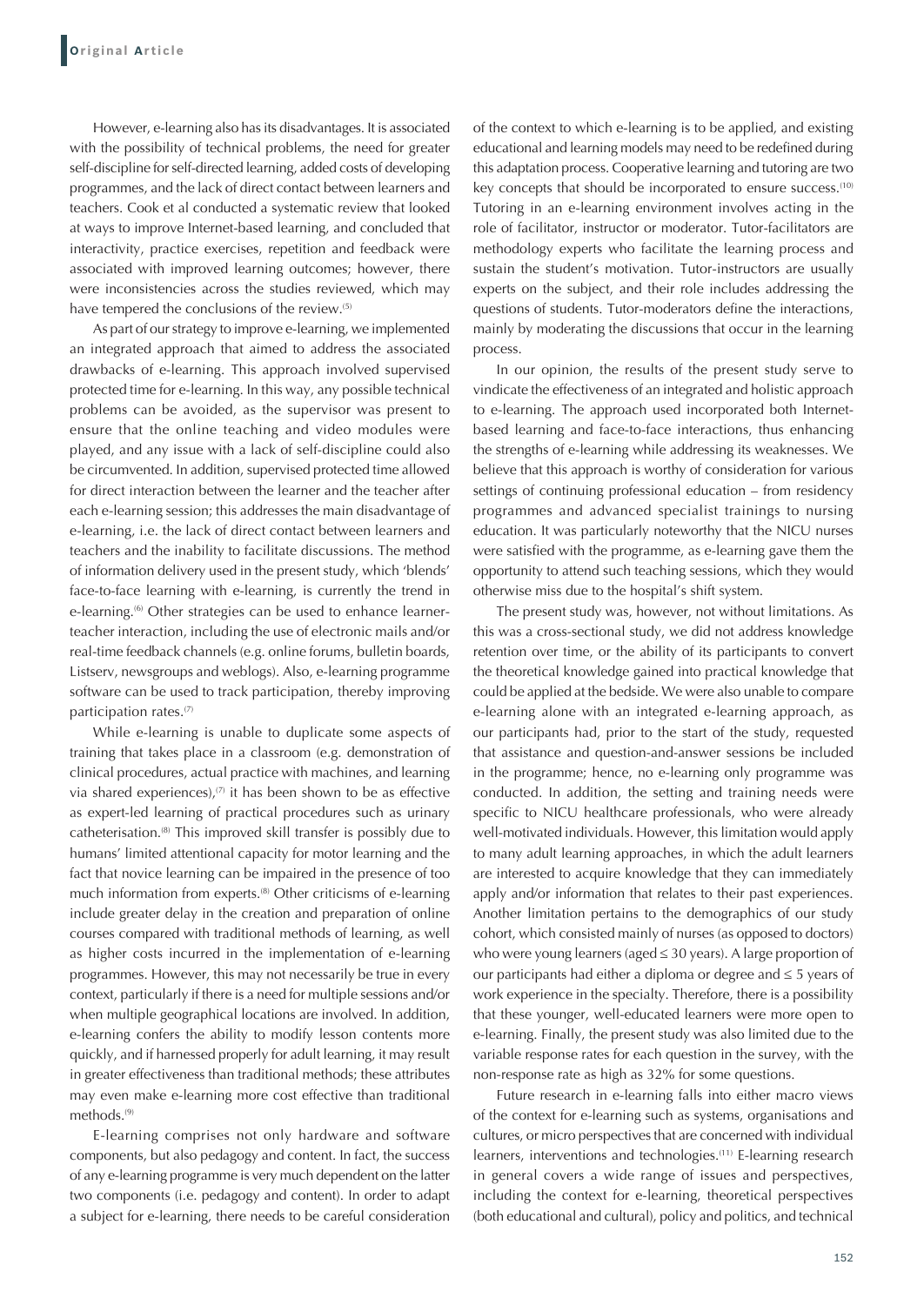However, e-learning also has its disadvantages. It is associated with the possibility of technical problems, the need for greater self-discipline for self-directed learning, added costs of developing programmes, and the lack of direct contact between learners and teachers. Cook et al conducted a systematic review that looked at ways to improve Internet-based learning, and concluded that interactivity, practice exercises, repetition and feedback were associated with improved learning outcomes; however, there were inconsistencies across the studies reviewed, which may have tempered the conclusions of the review.(5)

As part of our strategy to improve e-learning, we implemented an integrated approach that aimed to address the associated drawbacks of e-learning. This approach involved supervised protected time for e-learning. In this way, any possible technical problems can be avoided, as the supervisor was present to ensure that the online teaching and video modules were played, and any issue with a lack of self-discipline could also be circumvented. In addition, supervised protected time allowed for direct interaction between the learner and the teacher after each e-learning session; this addresses the main disadvantage of e-learning, i.e. the lack of direct contact between learners and teachers and the inability to facilitate discussions. The method of information delivery used in the present study, which 'blends' face-to-face learning with e-learning, is currently the trend in e-learning.<sup>(6)</sup> Other strategies can be used to enhance learnerteacher interaction, including the use of electronic mails and/or real-time feedback channels (e.g. online forums, bulletin boards, Listserv, newsgroups and weblogs). Also, e-learning programme software can be used to track participation, thereby improving participation rates.<sup>(7)</sup>

While e-learning is unable to duplicate some aspects of training that takes place in a classroom (e.g. demonstration of clinical procedures, actual practice with machines, and learning via shared experiences), $(7)$  it has been shown to be as effective as expert-led learning of practical procedures such as urinary catheterisation.(8) This improved skill transfer is possibly due to humans' limited attentional capacity for motor learning and the fact that novice learning can be impaired in the presence of too much information from experts.(8) Other criticisms of e-learning include greater delay in the creation and preparation of online courses compared with traditional methods of learning, as well as higher costs incurred in the implementation of e-learning programmes. However, this may not necessarily be true in every context, particularly if there is a need for multiple sessions and/or when multiple geographical locations are involved. In addition, e-learning confers the ability to modify lesson contents more quickly, and if harnessed properly for adult learning, it may result in greater effectiveness than traditional methods; these attributes may even make e-learning more cost effective than traditional methods.(9)

E-learning comprises not only hardware and software components, but also pedagogy and content. In fact, the success of any e-learning programme is very much dependent on the latter two components (i.e. pedagogy and content). In order to adapt a subject for e-learning, there needs to be careful consideration of the context to which e-learning is to be applied, and existing educational and learning models may need to be redefined during this adaptation process. Cooperative learning and tutoring are two key concepts that should be incorporated to ensure success.<sup>(10)</sup> Tutoring in an e-learning environment involves acting in the role of facilitator, instructor or moderator. Tutor-facilitators are methodology experts who facilitate the learning process and sustain the student's motivation. Tutor-instructors are usually experts on the subject, and their role includes addressing the questions of students. Tutor-moderators define the interactions, mainly by moderating the discussions that occur in the learning process.

In our opinion, the results of the present study serve to vindicate the effectiveness of an integrated and holistic approach to e-learning. The approach used incorporated both Internetbased learning and face-to-face interactions, thus enhancing the strengths of e-learning while addressing its weaknesses. We believe that this approach is worthy of consideration for various settings of continuing professional education – from residency programmes and advanced specialist trainings to nursing education. It was particularly noteworthy that the NICU nurses were satisfied with the programme, as e-learning gave them the opportunity to attend such teaching sessions, which they would otherwise miss due to the hospital's shift system.

The present study was, however, not without limitations. As this was a cross-sectional study, we did not address knowledge retention over time, or the ability of its participants to convert the theoretical knowledge gained into practical knowledge that could be applied at the bedside. We were also unable to compare e-learning alone with an integrated e-learning approach, as our participants had, prior to the start of the study, requested that assistance and question-and-answer sessions be included in the programme; hence, no e-learning only programme was conducted. In addition, the setting and training needs were specific to NICU healthcare professionals, who were already well-motivated individuals. However, this limitation would apply to many adult learning approaches, in which the adult learners are interested to acquire knowledge that they can immediately apply and/or information that relates to their past experiences. Another limitation pertains to the demographics of our study cohort, which consisted mainly of nurses (as opposed to doctors) who were young learners (aged ≤ 30 years). A large proportion of our participants had either a diploma or degree and ≤ 5 years of work experience in the specialty. Therefore, there is a possibility that these younger, well-educated learners were more open to e-learning. Finally, the present study was also limited due to the variable response rates for each question in the survey, with the non-response rate as high as 32% for some questions.

Future research in e-learning falls into either macro views of the context for e-learning such as systems, organisations and cultures, or micro perspectives that are concerned with individual learners, interventions and technologies.<sup>(11)</sup> E-learning research in general covers a wide range of issues and perspectives, including the context for e-learning, theoretical perspectives (both educational and cultural), policy and politics, and technical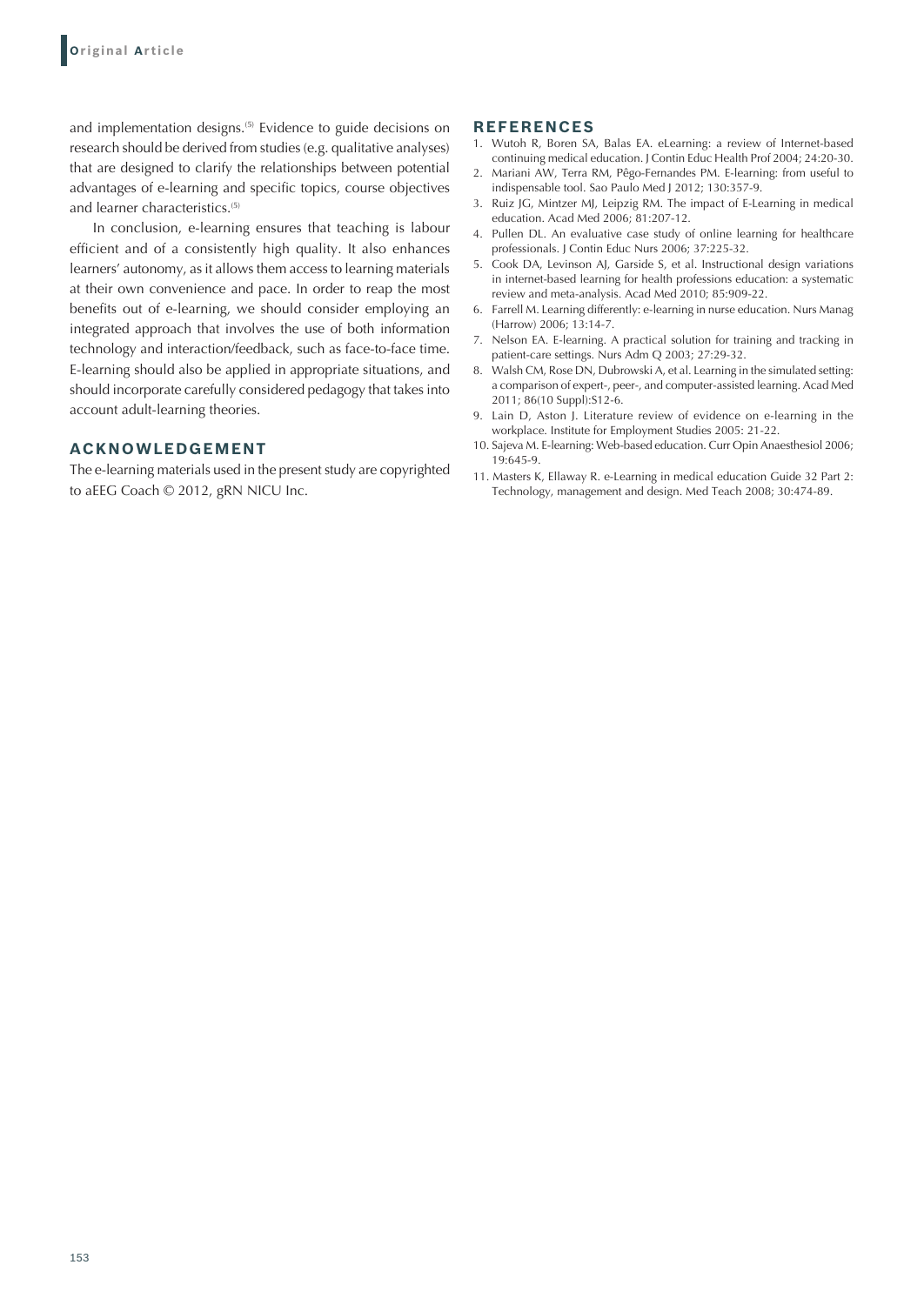and implementation designs.<sup>(5)</sup> Evidence to guide decisions on research should be derived from studies (e.g. qualitative analyses) that are designed to clarify the relationships between potential advantages of e-learning and specific topics, course objectives and learner characteristics.<sup>(5)</sup>

In conclusion, e-learning ensures that teaching is labour efficient and of a consistently high quality. It also enhances learners' autonomy, as it allows them access to learning materials at their own convenience and pace. In order to reap the most benefits out of e-learning, we should consider employing an integrated approach that involves the use of both information technology and interaction/feedback, such as face-to-face time. E-learning should also be applied in appropriate situations, and should incorporate carefully considered pedagogy that takes into account adult-learning theories.

## **ACKNOWLEDGEMENT**

The e-learning materials used in the present study are copyrighted to aEEG Coach © 2012, gRN NICU Inc.

### **REFERENCES**

- 1. Wutoh R, Boren SA, Balas EA. eLearning: a review of Internet-based continuing medical education. J Contin Educ Health Prof 2004; 24:20-30.
- 2. Mariani AW, Terra RM, Pêgo-Fernandes PM. E-learning: from useful to indispensable tool. Sao Paulo Med J 2012; 130:357-9.
- 3. Ruiz JG, Mintzer MJ, Leipzig RM. The impact of E-Learning in medical education. Acad Med 2006; 81:207-12.
- 4. Pullen DL. An evaluative case study of online learning for healthcare professionals. J Contin Educ Nurs 2006; 37:225-32.
- 5. Cook DA, Levinson AJ, Garside S, et al. Instructional design variations in internet-based learning for health professions education: a systematic review and meta-analysis. Acad Med 2010; 85:909-22.
- 6. Farrell M. Learning differently: e-learning in nurse education. Nurs Manag (Harrow) 2006; 13:14-7.
- 7. Nelson EA. E-learning. A practical solution for training and tracking in patient-care settings. Nurs Adm Q 2003; 27:29-32.
- 8. Walsh CM, Rose DN, Dubrowski A, et al. Learning in the simulated setting: a comparison of expert-, peer-, and computer-assisted learning. Acad Med 2011; 86(10 Suppl):S12-6.
- 9. Lain D, Aston J. Literature review of evidence on e-learning in the workplace. Institute for Employment Studies 2005: 21-22.
- 10. Sajeva M. E-learning: Web-based education. Curr Opin Anaesthesiol 2006; 19:645-9.
- 11. Masters K, Ellaway R. e-Learning in medical education Guide 32 Part 2: Technology, management and design. Med Teach 2008; 30:474-89.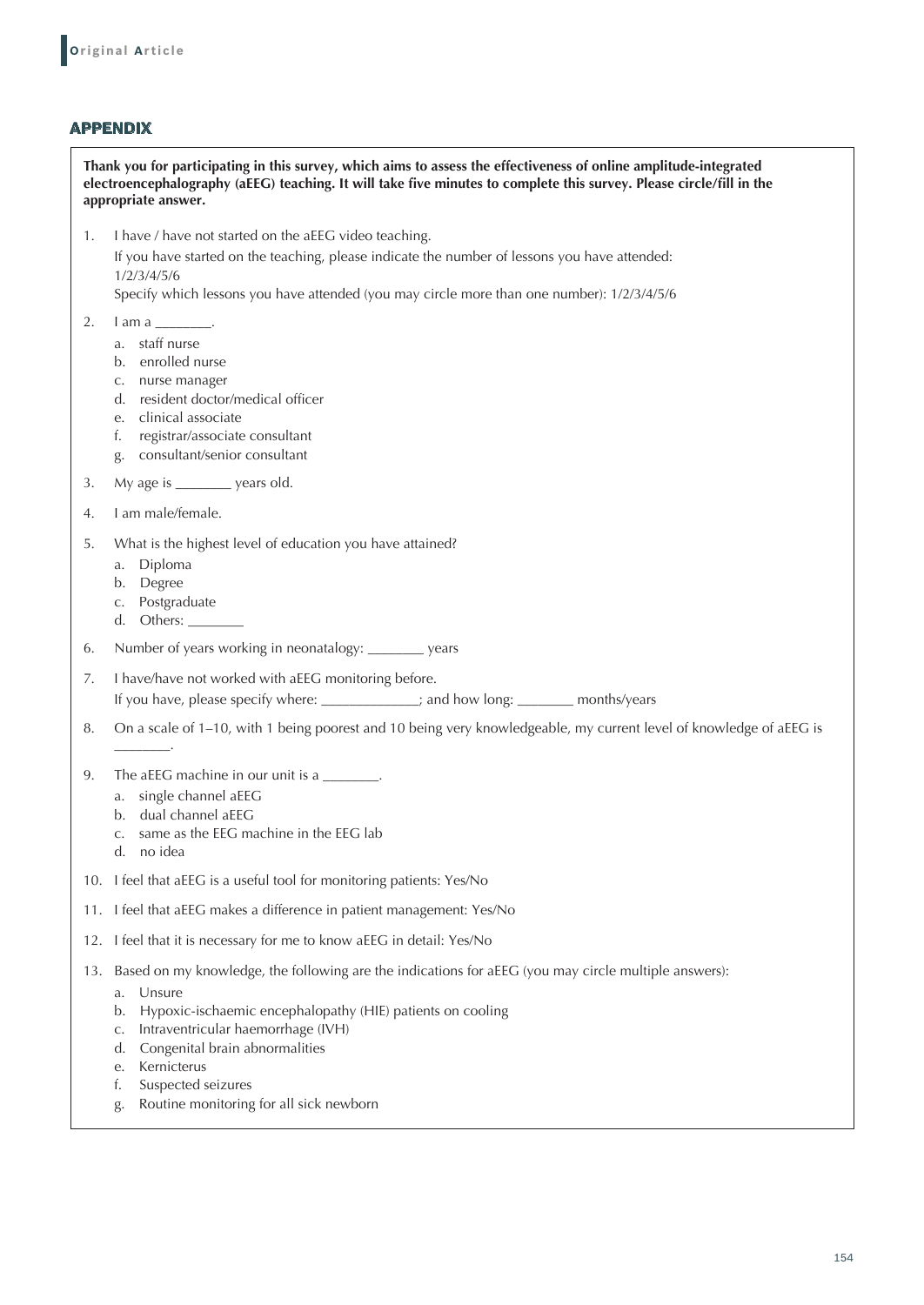# **APPENDIX**

**Thank you for participating in this survey, which aims to assess the effectiveness of online amplitude-integrated electroencephalography (aEEG) teaching. It will take five minutes to complete this survey. Please circle/fill in the appropriate answer.**

1. I have / have not started on the aEEG video teaching.

If you have started on the teaching, please indicate the number of lessons you have attended: 1/2/3/4/5/6

Specify which lessons you have attended (you may circle more than one number): 1/2/3/4/5/6

- 2.  $\Box$   $\Box$   $\Box$   $\Box$ 
	- a. staff nurse
	- b. enrolled nurse
	- c. nurse manager
	- d. resident doctor/medical officer
	- e. clinical associate
	- f. registrar/associate consultant
	- g. consultant/senior consultant
- 3. My age is \_\_\_\_\_\_\_\_ years old.
- 4. I am male/female.
- 5. What is the highest level of education you have attained?
	- a. Diploma
	- b. Degree
	- c. Postgraduate
	- d. Others:
- 6. Number of years working in neonatalogy: \_\_\_\_\_\_\_\_ years
- 7. I have/have not worked with aEEG monitoring before. If you have, please specify where: \_\_\_\_\_\_\_\_\_\_\_\_\_\_; and how long: \_\_\_\_\_\_\_\_ months/years
- 8. On a scale of 1–10, with 1 being poorest and 10 being very knowledgeable, my current level of knowledge of aEEG is
- 9. The aEEG machine in our unit is a
	- a. single channel aEEG
	- b. dual channel aEEG
	- c. same as the EEG machine in the EEG lab
	- d. no idea

\_\_\_\_\_\_\_\_.

- 10. I feel that aEEG is a useful tool for monitoring patients: Yes/No
- 11. I feel that aEEG makes a difference in patient management: Yes/No
- 12. I feel that it is necessary for me to know aEEG in detail: Yes/No
- 13. Based on my knowledge, the following are the indications for aEEG (you may circle multiple answers):
	- a. Unsure
	- b. Hypoxic-ischaemic encephalopathy (HIE) patients on cooling
	- c. Intraventricular haemorrhage (IVH)
	- d. Congenital brain abnormalities
	- e. Kernicterus
	- f. Suspected seizures
	- g. Routine monitoring for all sick newborn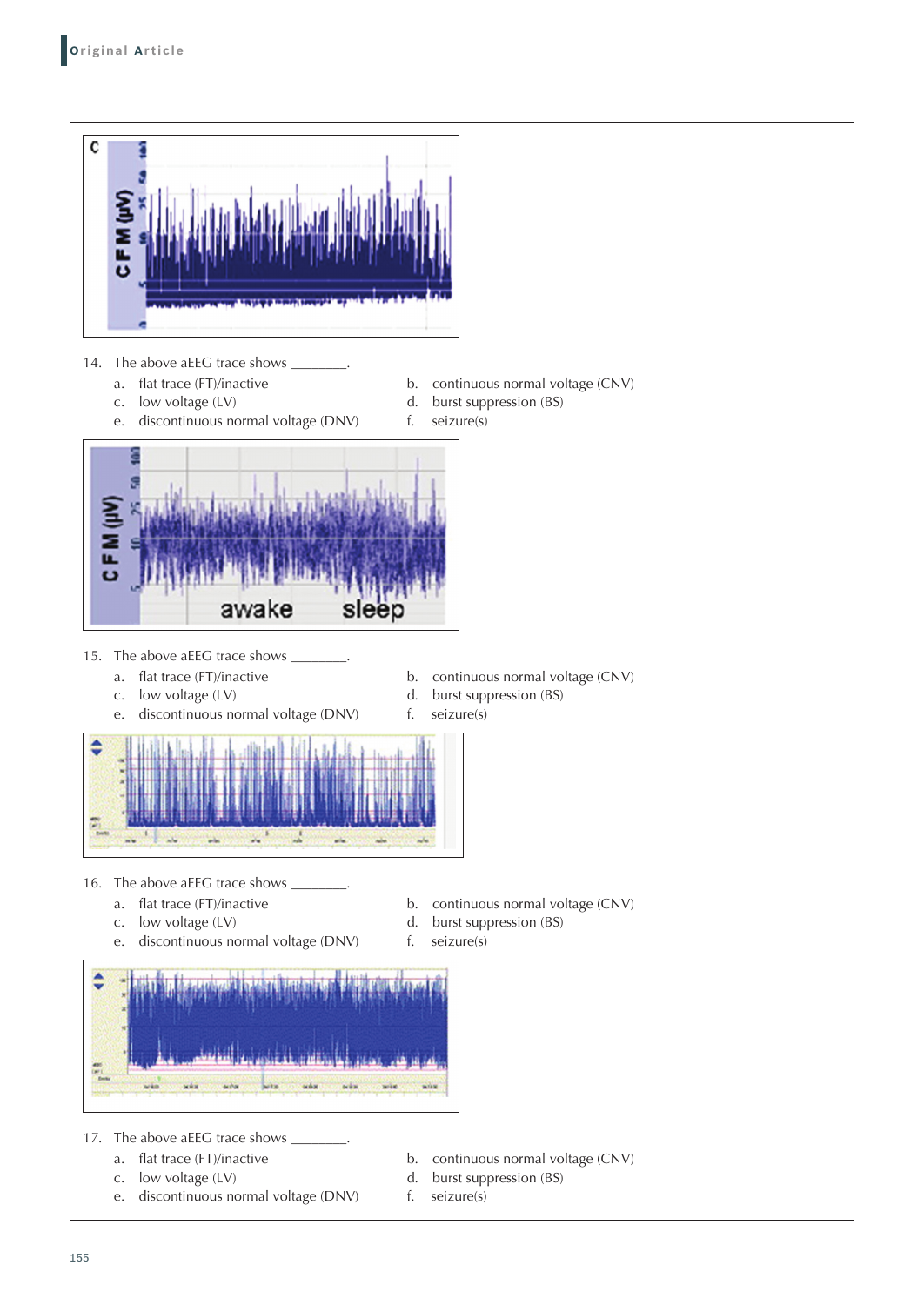

- c. low voltage (LV) d. burst suppression (BS)
- e. discontinuous normal voltage (DNV) f. seizure(s)
- 
-